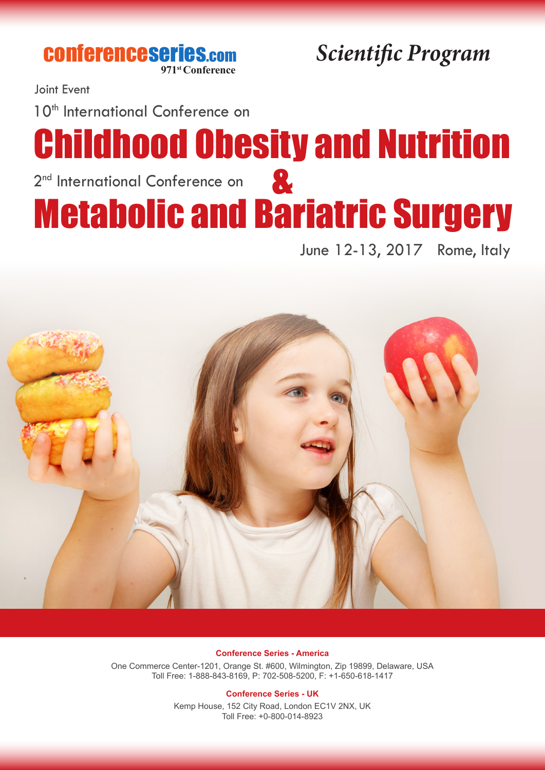**CONferenceseries.com**<br>971st Conference

*<u>Scientific Program</u>* 

Joint Event

10<sup>th</sup> International Conference on

# Childhood Obesity and Nutrition 2<sup>nd</sup> International Conference on Metabolic and Bariatric Surgery &

June 12-13, 2017 Rome, Italy



#### **Conference Series - America**

One Commerce Center-1201, Orange St. #600, Wilmington, Zip 19899, Delaware, USA Toll Free: 1-888-843-8169, P: 702-508-5200, F: +1-650-618-1417

#### **Conference Series - UK**

Kemp House, 152 City Road, London EC1V 2NX, UK Toll Free: +0-800-014-8923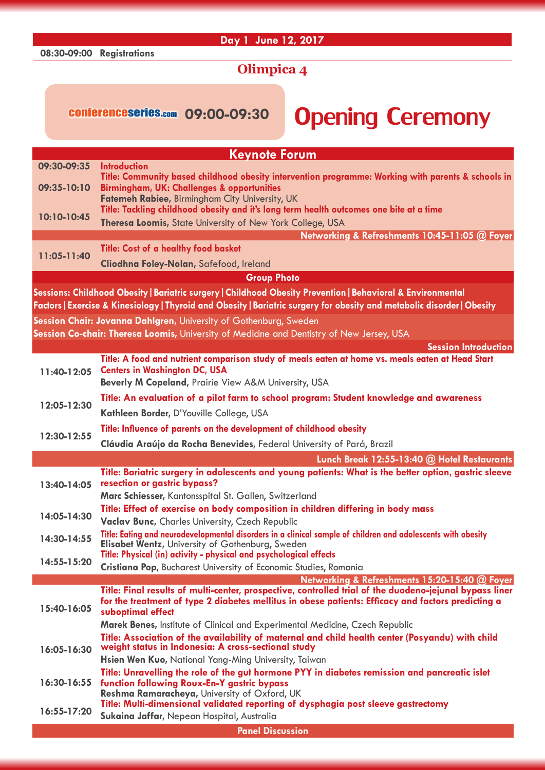### **08:30-09:00 Registrations**

## **Day 1 June 12, 2017**

# **Olimpica 4**

# conferenceseries.com 09:00-09:30 **Opening Ceremony**

|                                                                                                                         | <b>Keynote Forum</b>                                                                                                              |  |
|-------------------------------------------------------------------------------------------------------------------------|-----------------------------------------------------------------------------------------------------------------------------------|--|
| 09:30-09:35                                                                                                             | <b>Introduction</b>                                                                                                               |  |
| 09:35-10:10                                                                                                             | Title: Community based childhood obesity intervention programme: Working with parents & schools in                                |  |
|                                                                                                                         | <b>Birmingham, UK: Challenges &amp; opportunities</b><br>Fatemeh Rabiee, Birmingham City University, UK                           |  |
| 10:10-10:45                                                                                                             | Title: Tackling childhood obesity and it's long term health outcomes one bite at a time                                           |  |
|                                                                                                                         | Theresa Loomis, State University of New York College, USA                                                                         |  |
|                                                                                                                         | Networking & Refreshments 10:45-11:05 @ Foyer                                                                                     |  |
| 11:05-11:40                                                                                                             | <b>Title: Cost of a healthy food basket</b>                                                                                       |  |
|                                                                                                                         | Cliodhna Foley-Nolan, Safefood, Ireland                                                                                           |  |
|                                                                                                                         | <b>Group Photo</b>                                                                                                                |  |
| Sessions: Childhood Obesity   Bariatric surgery   Childhood Obesity Prevention   Behavioral & Environmental             |                                                                                                                                   |  |
| Factors   Exercise & Kinesiology   Thyroid and Obesity   Bariatric surgery for obesity and metabolic disorder   Obesity |                                                                                                                                   |  |
|                                                                                                                         | Session Chair: Jovanna Dahlgren, University of Gothenburg, Sweden                                                                 |  |
|                                                                                                                         | Session Co-chair: Theresa Loomis, University of Medicine and Dentistry of New Jersey, USA                                         |  |
|                                                                                                                         | <b>Session Introduction</b>                                                                                                       |  |
|                                                                                                                         | Title: A food and nutrient comparison study of meals eaten at home vs. meals eaten at Head Start                                  |  |
| 11:40-12:05                                                                                                             | <b>Centers in Washington DC, USA</b>                                                                                              |  |
|                                                                                                                         | Beverly M Copeland, Prairie View A&M University, USA                                                                              |  |
|                                                                                                                         | Title: An evaluation of a pilot farm to school program: Student knowledge and awareness                                           |  |
| 12:05-12:30                                                                                                             | Kathleen Border, D'Youville College, USA                                                                                          |  |
|                                                                                                                         | Title: Influence of parents on the development of childhood obesity                                                               |  |
| 12:30-12:55                                                                                                             | Cláudia Araújo da Rocha Benevides, Federal University of Pará, Brazil                                                             |  |
|                                                                                                                         | Lunch Break 12:55-13:40 @ Hotel Restaurants                                                                                       |  |
|                                                                                                                         | Title: Bariatric surgery in adolescents and young patients: What is the better option, gastric sleeve                             |  |
| 13:40-14:05                                                                                                             | resection or gastric bypass?                                                                                                      |  |
|                                                                                                                         | Marc Schiesser, Kantonsspital St. Gallen, Switzerland                                                                             |  |
| 14:05-14:30                                                                                                             | Title: Effect of exercise on body composition in children differing in body mass                                                  |  |
|                                                                                                                         | <b>Vaclav Bunc, Charles University, Czech Republic</b>                                                                            |  |
| 14:30-14:55                                                                                                             | Title: Eating and neurodevelopmental disorders in a clinical sample of children and adolescents with obesity                      |  |
|                                                                                                                         | Elisabet Wentz, University of Gothenburg, Sweden<br>Title: Physical (in) activity - physical and psychological effects            |  |
| 14:55-15:20                                                                                                             | Cristiana Pop, Bucharest University of Economic Studies, Romania                                                                  |  |
|                                                                                                                         | Networking & Refreshments 15:20-15:40 @ Foyer                                                                                     |  |
|                                                                                                                         | Title: Final results of multi-center, prospective, controlled trial of the duodeno-jejunal bypass liner                           |  |
| 15:40-16:05                                                                                                             | for the treatment of type 2 diabetes mellitus in obese patients: Efficacy and factors predicting a<br>suboptimal effect           |  |
|                                                                                                                         | Marek Benes, Institute of Clinical and Experimental Medicine, Czech Republic                                                      |  |
|                                                                                                                         | Title: Association of the availability of maternal and child health center (Posyandu) with child                                  |  |
| 16:05-16:30                                                                                                             | weight status in Indonesia: A cross-sectional study                                                                               |  |
|                                                                                                                         | Hsien Wen Kuo, National Yang-Ming University, Taiwan                                                                              |  |
| $16:30 - 16:55$                                                                                                         | Title: Unravelling the role of the gut hormone PYY in diabetes remission and pancreatic islet                                     |  |
|                                                                                                                         | function following Roux-En-Y gastric bypass                                                                                       |  |
|                                                                                                                         | Reshma Ramaracheya, University of Oxford, UK<br>Title: Multi-dimensional validated reporting of dysphagia post sleeve gastrectomy |  |
| 16:55-17:20                                                                                                             | Sukaina Jaffar, Nepean Hospital, Australia                                                                                        |  |
|                                                                                                                         | <b>Panel Discussion</b>                                                                                                           |  |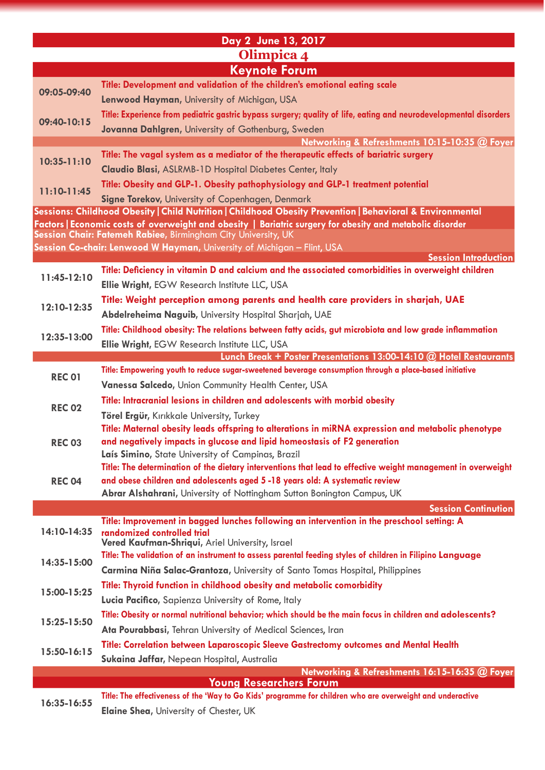| Day 2 June 13, 2017  |                                                                                                                                                                                                                        |  |
|----------------------|------------------------------------------------------------------------------------------------------------------------------------------------------------------------------------------------------------------------|--|
| Olimpica 4           |                                                                                                                                                                                                                        |  |
| <b>Keynote Forum</b> |                                                                                                                                                                                                                        |  |
| 09:05-09:40          | Title: Development and validation of the children's emotional eating scale                                                                                                                                             |  |
|                      | Lenwood Hayman, University of Michigan, USA                                                                                                                                                                            |  |
| 09:40-10:15          | Title: Experience from pediatric gastric bypass surgery; quality of life, eating and neurodevelopmental disorders                                                                                                      |  |
|                      | Jovanna Dahlgren, University of Gothenburg, Sweden                                                                                                                                                                     |  |
|                      | Networking & Refreshments 10:15-10:35 @ Foyer                                                                                                                                                                          |  |
| 10:35-11:10          | Title: The vagal system as a mediator of the therapeutic effects of bariatric surgery                                                                                                                                  |  |
|                      | <b>Claudio Blasi, ASLRMB-1D Hospital Diabetes Center, Italy</b>                                                                                                                                                        |  |
| $11:10-11:45$        | Title: Obesity and GLP-1. Obesity pathophysiology and GLP-1 treatment potential                                                                                                                                        |  |
|                      | Signe Torekov, University of Copenhagen, Denmark                                                                                                                                                                       |  |
|                      | Sessions: Childhood Obesity   Child Nutrition   Childhood Obesity Prevention   Behavioral & Environmental<br>Factors   Economic costs of overweight and obesity   Bariatric surgery for obesity and metabolic disorder |  |
|                      | Session Chair: Fatemeh Rabiee, Birmingham City University, UK                                                                                                                                                          |  |
|                      | Session Co-chair: Lenwood W Hayman, University of Michigan - Flint, USA                                                                                                                                                |  |
|                      | <b>Session Introduction</b>                                                                                                                                                                                            |  |
| 11:45-12:10          | Title: Deficiency in vitamin D and calcium and the associated comorbidities in overweight children                                                                                                                     |  |
|                      | <b>Ellie Wright, EGW Research Institute LLC, USA</b>                                                                                                                                                                   |  |
| 12:10-12:35          | Title: Weight perception among parents and health care providers in sharjah, UAE                                                                                                                                       |  |
|                      | Abdelreheima Naguib, University Hospital Sharjah, UAE                                                                                                                                                                  |  |
| 12:35-13:00          | Title: Childhood obesity: The relations between fatty acids, gut microbiota and low grade inflammation                                                                                                                 |  |
|                      | Ellie Wright, EGW Research Institute LLC, USA<br>Lunch Break + Poster Presentations 13:00-14:10 @ Hotel Restaurants                                                                                                    |  |
|                      | Title: Empowering youth to reduce sugar-sweetened beverage consumption through a place-based initiative                                                                                                                |  |
| <b>REC 01</b>        | Vanessa Salcedo, Union Community Health Center, USA                                                                                                                                                                    |  |
|                      | Title: Intracranial lesions in children and adolescents with morbid obesity                                                                                                                                            |  |
| <b>REC 02</b>        | Törel Ergür, Kırıkkale University, Turkey                                                                                                                                                                              |  |
|                      | Title: Maternal obesity leads offspring to alterations in miRNA expression and metabolic phenotype                                                                                                                     |  |
| <b>REC 03</b>        | and negatively impacts in glucose and lipid homeostasis of F2 generation                                                                                                                                               |  |
|                      | Laís Simino, State University of Campinas, Brazil                                                                                                                                                                      |  |
|                      | Title: The determination of the dietary interventions that lead to effective weight management in overweight                                                                                                           |  |
| <b>REC 04</b>        | and obese children and adolescents aged 5-18 years old: A systematic review                                                                                                                                            |  |
|                      | Abrar Alshahrani, University of Nottingham Sutton Bonington Campus, UK                                                                                                                                                 |  |
|                      | <b>Session Continution</b><br>Title: Improvement in bagged lunches following an intervention in the preschool setting: A                                                                                               |  |
| 14:10-14:35          | randomized controlled trial                                                                                                                                                                                            |  |
|                      | Vered Kaufman-Shriqui, Ariel University, Israel                                                                                                                                                                        |  |
| 14:35-15:00          | Title: The validation of an instrument to assess parental feeding styles of children in Filipino Language                                                                                                              |  |
|                      | Carmina Niña Salac-Grantoza, University of Santo Tomas Hospital, Philippines                                                                                                                                           |  |
| 15:00-15:25          | Title: Thyroid function in childhood obesity and metabolic comorbidity                                                                                                                                                 |  |
|                      | Lucia Pacifico, Sapienza University of Rome, Italy                                                                                                                                                                     |  |
| 15:25-15:50          | Title: Obesity or normal nutritional behavior; which should be the main focus in children and adolescents?                                                                                                             |  |
|                      | Ata Pourabbasi, Tehran University of Medical Sciences, Iran                                                                                                                                                            |  |
| 15:50-16:15          | Title: Correlation between Laparoscopic Sleeve Gastrectomy outcomes and Mental Health                                                                                                                                  |  |
|                      | Sukaina Jaffar, Nepean Hospital, Australia<br>Networking & Refreshments 16:15-16:35 @ Foyer                                                                                                                            |  |
|                      | <b>Young Researchers Forum</b>                                                                                                                                                                                         |  |
| 16:35-16:55          | Title: The effectiveness of the 'Way to Go Kids' programme for children who are overweight and underactive                                                                                                             |  |
|                      | Elaine Shea, University of Chester, UK                                                                                                                                                                                 |  |